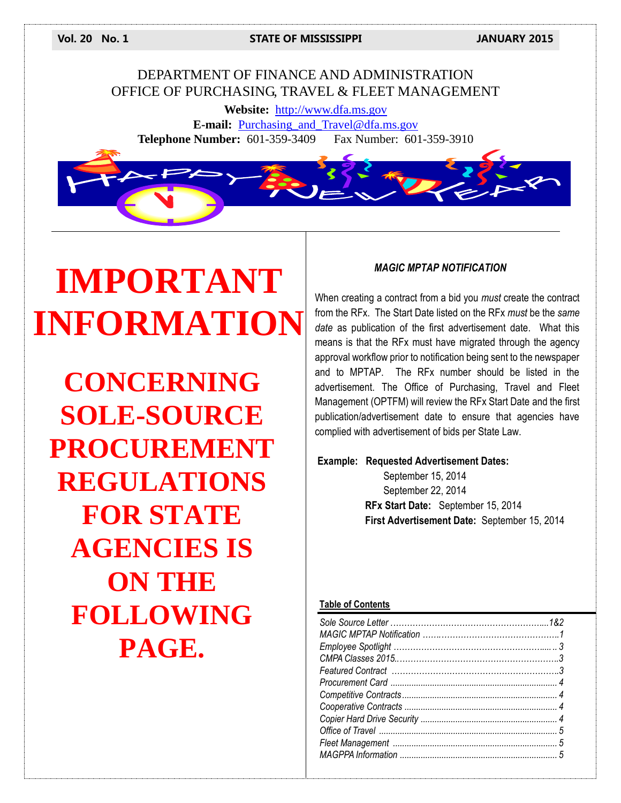**Vol. 20 No. 1 STATE OF MISSISSIPPI JANUARY 2015**

# DEPARTMENT OF FINANCE AND ADMINISTRATION OFFICE OF PURCHASING, TRAVEL & FLEET MANAGEMENT

**Website:** [http://www.dfa.ms.gov](http://www.dfa.ms.gov/) **E-mail:** [Purchasing\\_and\\_Travel@dfa.ms.gov](mailto:Purchasing_and_Travel@dfa.ms.gov) **Telephone Number:** 601-359-3409 Fax Number: 601-359-3910



# **IMPORTANT INFORMATION**

**CONCERNING SOLE-SOURCE PROCUREMENT REGULATIONS FOR STATE AGENCIES IS ON THE FOLLOWING PAGE.**

#### *MAGIC MPTAP NOTIFICATION*

When creating a contract from a bid you *must* create the contract from the RFx. The Start Date listed on the RFx *must* be the *same date* as publication of the first advertisement date. What this means is that the RFx must have migrated through the agency approval workflow prior to notification being sent to the newspaper and to MPTAP. The RFx number should be listed in the advertisement. The Office of Purchasing, Travel and Fleet Management (OPTFM) will review the RFx Start Date and the first publication/advertisement date to ensure that agencies have complied with advertisement of bids per State Law.

#### **Example: Requested Advertisement Dates:**

September 15, 2014 September 22, 2014 **RFx Start Date:** September 15, 2014 **First Advertisement Date:** September 15, 2014

#### **Table of Contents**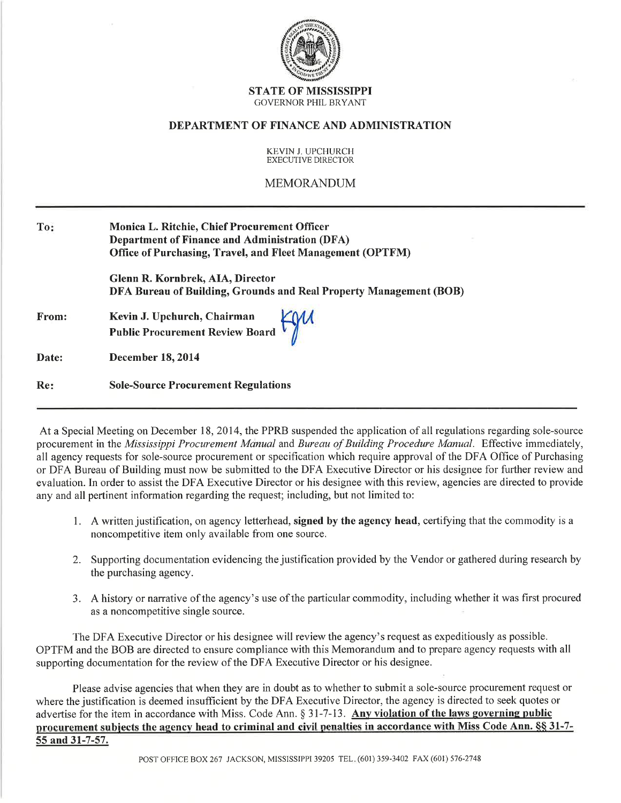

#### **STATE OF MISSISSIPPI GOVERNOR PHIL BRYANT**

#### **DEPARTMENT OF FINANCE AND ADMINISTRATION**

#### KEVIN J. UPCHURCH **EXECUTIVE DIRECTOR**

#### **MEMORANDUM**

| To:   | Monica L. Ritchie, Chief Procurement Officer<br><b>Department of Finance and Administration (DFA)</b><br><b>Office of Purchasing, Travel, and Fleet Management (OPTFM)</b> |  |
|-------|----------------------------------------------------------------------------------------------------------------------------------------------------------------------------|--|
|       | Glenn R. Kornbrek, AIA, Director<br>DFA Bureau of Building, Grounds and Real Property Management (BOB)                                                                     |  |
| From: | Kevin J. Upchurch, Chairman<br>Public Procurement Review Board                                                                                                             |  |
| Date: | <b>December 18, 2014</b>                                                                                                                                                   |  |
| Re:   | <b>Sole-Source Procurement Regulations</b>                                                                                                                                 |  |

At a Special Meeting on December 18, 2014, the PPRB suspended the application of all regulations regarding sole-source procurement in the Mississippi Procurement Manual and Bureau of Building Procedure Manual. Effective immediately, all agency requests for sole-source procurement or specification which require approval of the DFA Office of Purchasing or DFA Bureau of Building must now be submitted to the DFA Executive Director or his designee for further review and evaluation. In order to assist the DFA Executive Director or his designee with this review, agencies are directed to provide any and all pertinent information regarding the request; including, but not limited to:

- 1. A written justification, on agency letterhead, signed by the agency head, certifying that the commodity is a noncompetitive item only available from one source.
- 2. Supporting documentation evidencing the justification provided by the Vendor or gathered during research by the purchasing agency.
- 3. A history or narrative of the agency's use of the particular commodity, including whether it was first procured as a noncompetitive single source.

The DFA Executive Director or his designee will review the agency's request as expeditiously as possible. OPTFM and the BOB are directed to ensure compliance with this Memorandum and to prepare agency requests with all supporting documentation for the review of the DFA Executive Director or his designee.

Please advise agencies that when they are in doubt as to whether to submit a sole-source procurement request or where the justification is deemed insufficient by the DFA Executive Director, the agency is directed to seek quotes or advertise for the item in accordance with Miss. Code Ann. § 31-7-13. Any violation of the laws governing public procurement subjects the agency head to criminal and civil penalties in accordance with Miss Code Ann. §§ 31-7-55 and 31-7-57.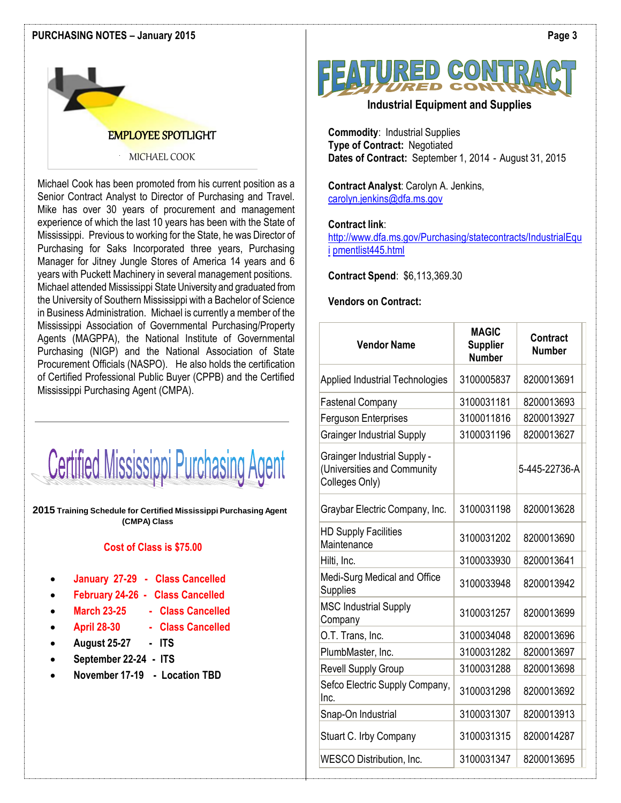#### **PURCHASING NOTES – January 2015**



## EMPLOYEE SPOTLIGHT

#### MICHAEL COOK

Michael Cook has been promoted from his current position as a Senior Contract Analyst to Director of Purchasing and Travel. Mike has over 30 years of procurement and management experience of which the last 10 years has been with the State of Mississippi. Previous to working for the State, he was Director of Purchasing for Saks Incorporated three years, Purchasing Manager for Jitney Jungle Stores of America 14 years and 6 years with Puckett Machinery in several management positions. Michael attended Mississippi State University and graduated from the University of Southern Mississippi with a Bachelor of Science in Business Administration. Michael is currently a member of the Mississippi Association of Governmental Purchasing/Property Agents (MAGPPA), the National Institute of Governmental Purchasing (NIGP) and the National Association of State Procurement Officials (NASPO). He also holds the certification of Certified Professional Public Buyer (CPPB) and the Certified Mississippi Purchasing Agent (CMPA).



**2015 Training Schedule for Certified Mississippi Purchasing Agent (CMPA) Class**

#### **Cost of Class is \$75.00**

- **January 27-29 Class Cancelled**
- **February 24-26 Class Cancelled**
	- **March 23-25 Class Cancelled**
- **April 28-30 Class Cancelled**
- **August 25-27 ITS**
- **September 22-24 ITS**
- **November 17-19 Location TBD**



## **Industrial Equipment and Supplies**

**Commodity**: Industrial Supplies **Type of Contract:** Negotiated **Dates of Contract:** September 1, 2014 - August 31, 2015

**Contract Analyst**: Carolyn A. Jenkins, [carolyn.jenkins@dfa.ms.gov](mailto:carolyn.jenkins@dfa.ms.gov)

### **Contract link**:

[http://www.dfa.ms.gov/Purchasing/statecontracts/IndustrialEqu](http://www.dfa.ms.gov/Purchasing/statecontracts/IndustrialEquipmentlist445.html) [i](http://www.dfa.ms.gov/Purchasing/statecontracts/IndustrialEquipmentlist445.html) [pmentlist445.html](http://www.dfa.ms.gov/Purchasing/statecontracts/IndustrialEquipmentlist445.html)

**Contract Spend**: \$6,113,369.30

#### **Vendors on Contract:**

| <b>Vendor Name</b>                                                                   | <b>MAGIC</b><br><b>Supplier</b><br><b>Number</b> | Contract<br><b>Number</b> |
|--------------------------------------------------------------------------------------|--------------------------------------------------|---------------------------|
| <b>Applied Industrial Technologies</b>                                               | 3100005837                                       | 8200013691                |
| <b>Fastenal Company</b>                                                              | 3100031181                                       | 8200013693                |
| Ferguson Enterprises                                                                 | 3100011816                                       | 8200013927                |
| <b>Grainger Industrial Supply</b>                                                    | 3100031196                                       | 8200013627                |
| <b>Grainger Industrial Supply -</b><br>(Universities and Community<br>Colleges Only) |                                                  | 5-445-22736-A             |
| Graybar Electric Company, Inc.                                                       | 3100031198                                       | 8200013628                |
| <b>HD Supply Facilities</b><br>Maintenance                                           | 3100031202                                       | 8200013690                |
| Hilti, Inc.                                                                          | 3100033930                                       | 8200013641                |
| Medi-Surg Medical and Office<br>Supplies                                             | 3100033948                                       | 8200013942                |
| <b>MSC Industrial Supply</b><br>Company                                              | 3100031257                                       | 8200013699                |
| O.T. Trans, Inc.                                                                     | 3100034048                                       | 8200013696                |
| PlumbMaster, Inc.                                                                    | 3100031282                                       | 8200013697                |
| <b>Revell Supply Group</b>                                                           | 3100031288                                       | 8200013698                |
| Sefco Electric Supply Company,<br>Inc.                                               | 3100031298                                       | 8200013692                |
| Snap-On Industrial                                                                   | 3100031307                                       | 8200013913                |
| Stuart C. Irby Company                                                               | 3100031315                                       | 8200014287                |
| <b>WESCO Distribution, Inc.</b>                                                      | 3100031347                                       | 8200013695                |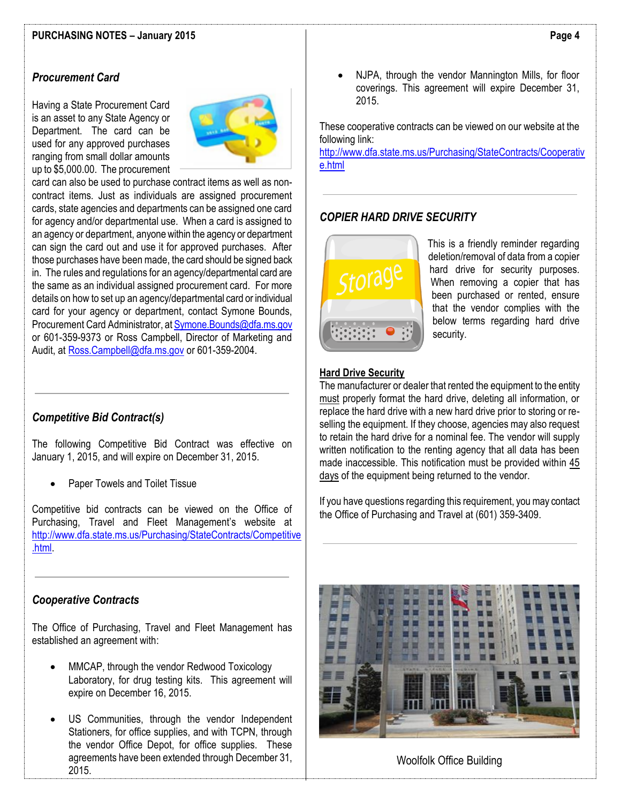# *Procurement Card*

Having a State Procurement Card is an asset to any State Agency or Department. The card can be used for any approved purchases ranging from small dollar amounts up to \$5,000.00. The procurement



card can also be used to purchase contract items as well as noncontract items. Just as individuals are assigned procurement cards, state agencies and departments can be assigned one card for agency and/or departmental use. When a card is assigned to an agency or department, anyone within the agency or department can sign the card out and use it for approved purchases. After those purchases have been made, the card should be signed back in. The rules and regulations for an agency/departmental card are the same as an individual assigned procurement card. For more details on how to set up an agency/departmental card or individual card for your agency or department, contact Symone Bounds, Procurement Card Administrator, a[t Symone.Bounds@dfa.ms.gov](mailto:Symone.Bounds@dfa.ms.gov) or 601-359-9373 or Ross Campbell, Director of Marketing and Audit, at [Ross.Campbell@dfa.ms.gov](mailto:Ross.Campbell@dfa.ms.gov) or 601-359-2004.

## *Competitive Bid Contract(s)*

The following Competitive Bid Contract was effective on January 1, 2015, and will expire on December 31, 2015.

• Paper Towels and Toilet Tissue

Competitive bid contracts can be viewed on the Office of Purchasing, Travel and Fleet Management's website at [http://www.dfa.state.ms.us/Purchasing/StateContracts/Competitive](http://www.dfa.state.ms.us/Purchasing/StateContracts/Competitive.html) [.html.](http://www.dfa.state.ms.us/Purchasing/StateContracts/Competitive.html)

## *Cooperative Contracts*

The Office of Purchasing, Travel and Fleet Management has established an agreement with:

- MMCAP, through the vendor Redwood Toxicology Laboratory, for drug testing kits. This agreement will expire on December 16, 2015.
- US Communities, through the vendor Independent Stationers, for office supplies, and with TCPN, through the vendor Office Depot, for office supplies. These agreements have been extended through December 31, 2015.

• NJPA, through the vendor Mannington Mills, for floor coverings. This agreement will expire December 31, 2015.

These cooperative contracts can be viewed on our website at the following link:

[http://www.dfa.state.ms.us/Purchasing/StateContracts/Cooperativ](http://www.dfa.state.ms.us/Purchasing/StateContracts/Cooperative.html) [e.html](http://www.dfa.state.ms.us/Purchasing/StateContracts/Cooperative.html)

# *COPIER HARD DRIVE SECURITY*



This is a friendly reminder regarding deletion/removal of data from a copier hard drive for security purposes. When removing a copier that has been purchased or rented, ensure that the vendor complies with the below terms regarding hard drive security.

#### **Hard Drive Security**

The manufacturer or dealer that rented the equipment to the entity must properly format the hard drive, deleting all information, or replace the hard drive with a new hard drive prior to storing or reselling the equipment. If they choose, agencies may also request to retain the hard drive for a nominal fee. The vendor will supply written notification to the renting agency that all data has been made inaccessible. This notification must be provided within 45 days of the equipment being returned to the vendor.

If you have questions regarding this requirement, you may contact the Office of Purchasing and Travel at (601) 359-3409.



#### Woolfolk Office Building